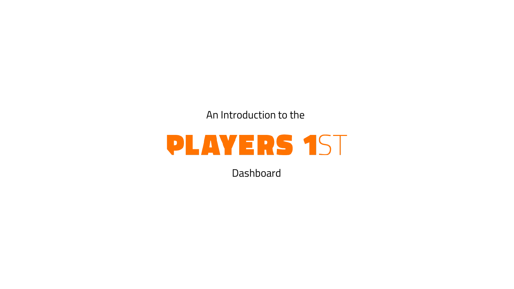An Introduction to the

# **PLAYERS 1ST**

**Dashboard**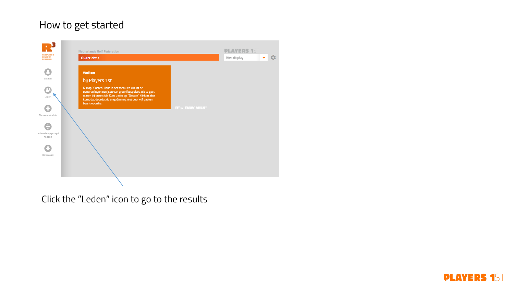### How to get started



Click the "Leden" icon to go to the results

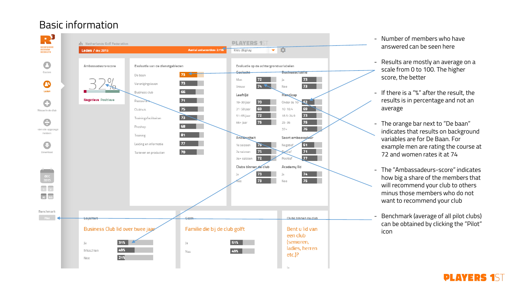# Basic information



- Number of members who have answered can be seen here
- Results are mostly an average on a scale from 0 to 100. The higher score, the better
- If there is a "%" after the result, the results is in percentage and not an average
- The orange bar next to "De baan" indicates that results on background variables are for De Baan. For example men are rating the course at 72 and women rates it at 74
- The "Ambassadeurs -score" indicates how big a share of the members that will recommend your club to others minus those members who do not want to recommend your club
- Benchmark (average of all pilot clubs) can be obtained by clicking the "Pilot" icon

**DLAYERS**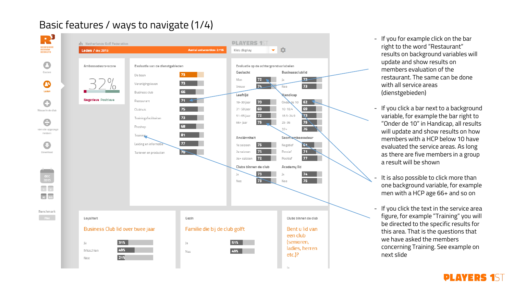#### R, **PLAYERS 1ST ชื่อ** Netherlands Golf Federation **RESPONSE<br>REVIEW<br>RESULTS** Aantal antwoorden: 2716 ▼☆ Leden / dec 2015 Kies display a Ambassadeurs-score Evaluatie van de dienstgebieden Evaluatie op de achtergrondvariabelen Gasten Businessclublid Geslacht 73 . De baan Man  $72$  $|a|$  $22 \boldsymbol{\Theta}$ 73 . Verenigingsleven  $74$  $73$ Vrouw Nee Leden 66 **Business club** Leeftijd **Nandicap Negatieve** Positieve  $71 - 4$ Restaurant G 62 2 19-30 jaar Onderde 10 69  $10 - 18.4$ Clubhuis 31-50 jaar Nieuw in de club **X3** 72 18.5-24.9 51-65 jaar 73 . Trainingsfaciliteiten e  $75<$ 75  $25 - 36$ 66+ jaar 68 Proshop  $76$  $37+$ den die opgezegd hebben 81 ... Training Soort ambassadeur Anciënniteit 77 Leiding en informatie  $\mathbb{F}$ e 1e seizoen Negatief  $71$  $70$ Passief Download 2e seizoen Tarieven en producten 72  $77$ Positief 3e+ seizoen Clubs binnen de club Academy lid 73 74  $|a|$  $|a|$  $\overline{13}$  $75$ Nee Nee  $\overline{1}$ 30 365 Benchmark Loyaliteit Gezin Clubs binnen de club Business Club lid over twee jaar Familie die bij de club golft Bent u lid van een club (senioren, 31% 51% Ja Ja ladies, herren Misschien 49% 49% Nee  $etc.$ )? 21% Nee

# Basic features / ways to navigate (1/4)

- If you for example click on the bar right to the word "Restaurant" results on background variables will update and show results on members evaluation of the restaurant. The same can be done with all service areas (dienstgebieden)
- If you click a bar next to a background variable, for example the bar right to "Onder de 10" in Handicap, all results will update and show results on how members with a HCP below 10 have evaluated the service areas. As long as there are five members in a group a result will be shown
- It is also possible to click more than one background variable, for example men with a HCP age 66+ and so on
- If you click the text in the service area figure, for example "Training" you will be directed to the specific results for this area. That is the questions that we have asked the members concerning Training. See example on next slide

#### **DLAVERS**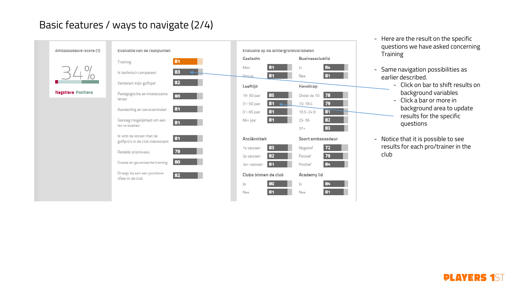### Basic features / ways to navigate (2/4)



- Here are the result on the specific questions we have asked concerning **Training**
- Same navigation possibilities as
	- Click on bar to shift results on background variables
	- Click a bar or more in background area to update results for the specific questions
- Notice that it is possible to see results for each pro/trainer in the club

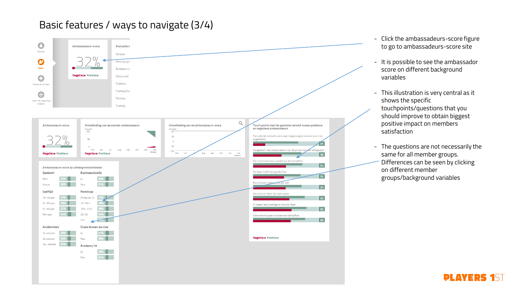### Basic features / ways to navigate (3/4)



- Click the ambassadeurs -score figure to go to ambassadeurs -score site
- It is possible to see the ambassador score on different background variables
- This illustration is very central as it shows the specific touchpoints/questions that you should improve to obtain biggest positive impact on members satisfaction
- The questions are not necessarily the same for all member groups. Differences can be seen by clicking on different member groups/background variables

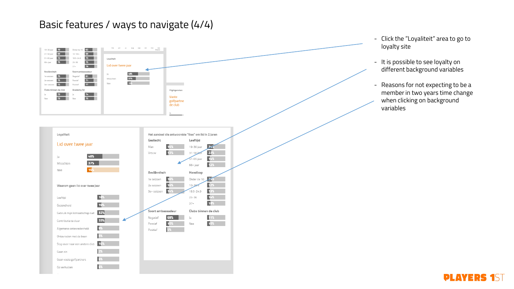#### Basic features / ways to navigate (4/4)



#### **PLAYERS 1ST**